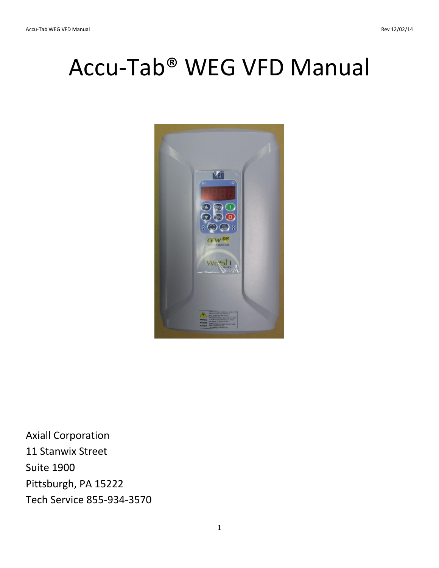# Accu-Tab® WEG VFD Manual



Axiall Corporation 11 Stanwix Street Suite 1900 Pittsburgh, PA 15222 Tech Service 855-934-3570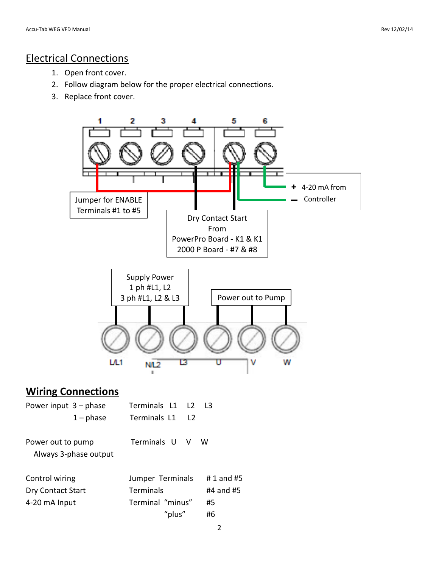#### Electrical Connections

- 1. Open front cover.
- 2. Follow diagram below for the proper electrical connections.
- 3. Replace front cover.



"plus" #6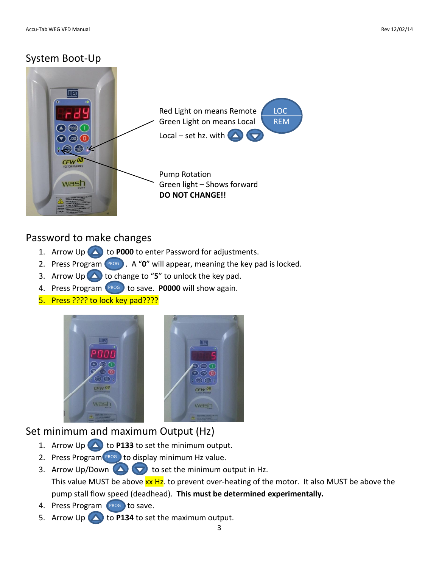#### System Boot-Up



#### Password to make changes

- 1. Arrow Up **4** to **P000** to enter Password for adjustments.
- 2. Press Program (PROG). A "0" will appear, meaning the key pad is locked.
- 3. Arrow Up  $\bigtriangleup$  to change to "5" to unlock the key pad.
- 4. Press Program <sup>(PROG</sup>) to save. **P0000** will show again.
- 5. Press ???? to lock key pad????



## Set minimum and maximum Output (Hz)

- 1. Arrow Up  $\bigcirc$  to P133 to set the minimum output.
- 2. Press Program  $P_{ROG}$  to display minimum Hz value.
- 3. Arrow Up/Down  $\bigcirc$  to set the minimum output in Hz. This value MUST be above xx Hz. to prevent over-heating of the motor. It also MUST be above the pump stall flow speed (deadhead). **This must be determined experimentally.**
- 4. Press Program (PROG) to save.
- 5. Arrow Up  $\triangle$  to **P134** to set the maximum output.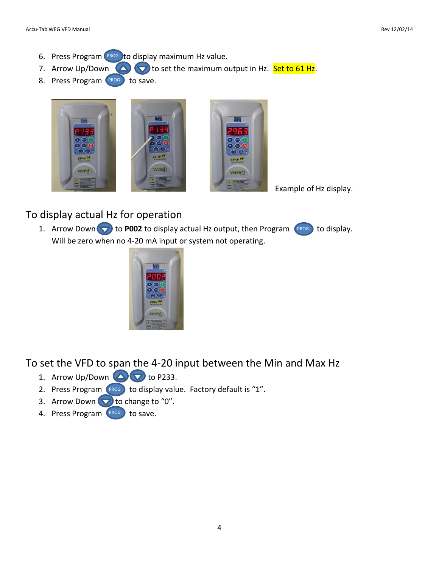- 6. Press Program <sup>(PROG</sup>) to display maximum Hz value.
- 7. Arrow Up/Down  $\bigcirc$  to set the maximum output in Hz. Set to 61 Hz.
- 8. Press Program PROG to save.



Example of Hz display.

## To display actual Hz for operation

1. Arrow Down  $\blacktriangledown$  to **P002** to display actual Hz output, then Program  $\binom{prog}{6}$  to display. Will be zero when no 4-20 mA input or system not operating.



To set the VFD to span the 4-20 input between the Min and Max Hz

- 1. Arrow Up/Down  $\bigcirc$  to P233.
- 2. Press Program  $(PROS)$  to display value. Factory default is "1".
- 3. Arrow Down  $\blacktriangledown$  to change to "0".
- 4. Press Program PROG to save.